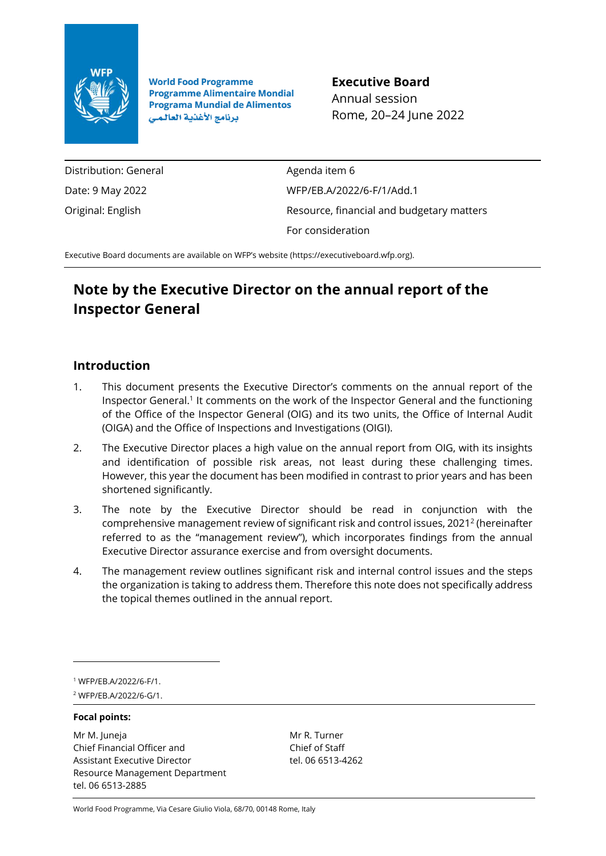

**World Food Programme Programme Alimentaire Mondial Programa Mundial de Alimentos** برنامج الأغذية العالمي

**Executive Board** Annual session Rome, 20–24 June 2022

Distribution: General Date: 9 May 2022 Original: English

Agenda item 6 WFP/EB.A/2022/6-F/1/Add.1 Resource, financial and budgetary matters For consideration

Executive Board documents are available on WFP's website [\(https://executiveboard.wfp.org\)](https://executiveboard.wfp.org/).

# **Note by the Executive Director on the annual report of the Inspector General**

## **Introduction**

- 1. This document presents the Executive Director's comments on the annual report of the Inspector General.<sup>1</sup> It comments on the work of the Inspector General and the functioning of the Office of the Inspector General (OIG) and its two units, the Office of Internal Audit (OIGA) and the Office of Inspections and Investigations (OIGI).
- 2. The Executive Director places a high value on the annual report from OIG, with its insights and identification of possible risk areas, not least during these challenging times. However, this year the document has been modified in contrast to prior years and has been shortened significantly.
- 3. The note by the Executive Director should be read in conjunction with the comprehensive management review of significant risk and control issues, 2021 2 (hereinafter referred to as the "management review"), which incorporates findings from the annual Executive Director assurance exercise and from oversight documents.
- 4. The management review outlines significant risk and internal control issues and the steps the organization is taking to address them. Therefore this note does not specifically address the topical themes outlined in the annual report.

<sup>1</sup> WFP/EB.A/2022/6-F/1.

<sup>2</sup> WFP/EB.A/2022/6-G/1.

## **Focal points:**

Mr M. Juneja Chief Financial Officer and Assistant Executive Director Resource Management Department tel. 06 6513-2885

Mr R. Turner Chief of Staff tel. 06 6513-4262

World Food Programme, Via Cesare Giulio Viola, 68/70, 00148 Rome, Italy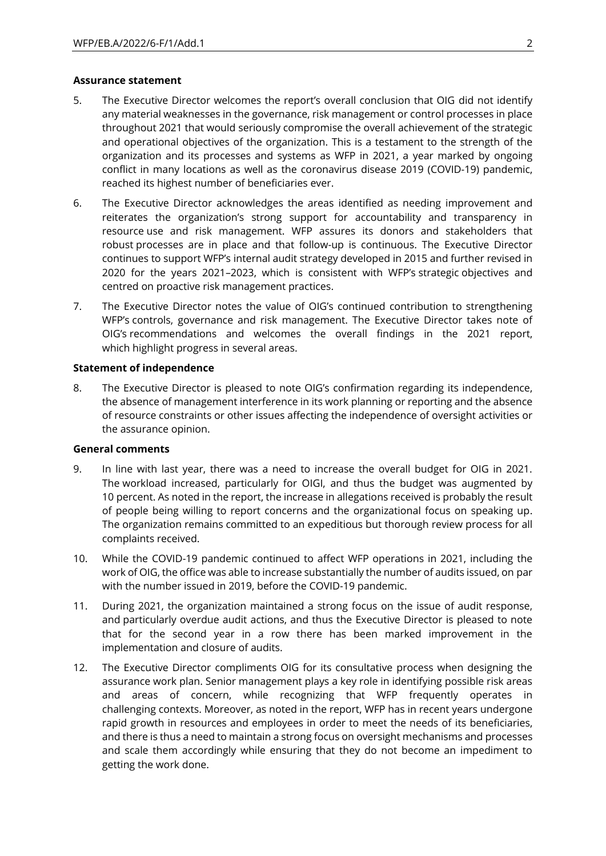#### **Assurance statement**

- 5. The Executive Director welcomes the report's overall conclusion that OIG did not identify any material weaknesses in the governance, risk management or control processes in place throughout 2021 that would seriously compromise the overall achievement of the strategic and operational objectives of the organization. This is a testament to the strength of the organization and its processes and systems as WFP in 2021, a year marked by ongoing conflict in many locations as well as the coronavirus disease 2019 (COVID-19) pandemic, reached its highest number of beneficiaries ever.
- 6. The Executive Director acknowledges the areas identified as needing improvement and reiterates the organization's strong support for accountability and transparency in resource use and risk management. WFP assures its donors and stakeholders that robust processes are in place and that follow-up is continuous. The Executive Director continues to support WFP's internal audit strategy developed in 2015 and further revised in 2020 for the years 2021–2023, which is consistent with WFP's strategic objectives and centred on proactive risk management practices.
- 7. The Executive Director notes the value of OIG's continued contribution to strengthening WFP's controls, governance and risk management. The Executive Director takes note of OIG's recommendations and welcomes the overall findings in the 2021 report, which highlight progress in several areas.

#### **Statement of independence**

8. The Executive Director is pleased to note OIG's confirmation regarding its independence, the absence of management interference in its work planning or reporting and the absence of resource constraints or other issues affecting the independence of oversight activities or the assurance opinion.

#### **General comments**

- 9. In line with last year, there was a need to increase the overall budget for OIG in 2021. The workload increased, particularly for OIGI, and thus the budget was augmented by 10 percent. As noted in the report, the increase in allegations received is probably the result of people being willing to report concerns and the organizational focus on speaking up. The organization remains committed to an expeditious but thorough review process for all complaints received.
- 10. While the COVID-19 pandemic continued to affect WFP operations in 2021, including the work of OIG, the office was able to increase substantially the number of audits issued, on par with the number issued in 2019, before the COVID-19 pandemic.
- 11. During 2021, the organization maintained a strong focus on the issue of audit response, and particularly overdue audit actions, and thus the Executive Director is pleased to note that for the second year in a row there has been marked improvement in the implementation and closure of audits.
- 12. The Executive Director compliments OIG for its consultative process when designing the assurance work plan. Senior management plays a key role in identifying possible risk areas and areas of concern, while recognizing that WFP frequently operates in challenging contexts. Moreover, as noted in the report, WFP has in recent years undergone rapid growth in resources and employees in order to meet the needs of its beneficiaries, and there is thus a need to maintain a strong focus on oversight mechanisms and processes and scale them accordingly while ensuring that they do not become an impediment to getting the work done.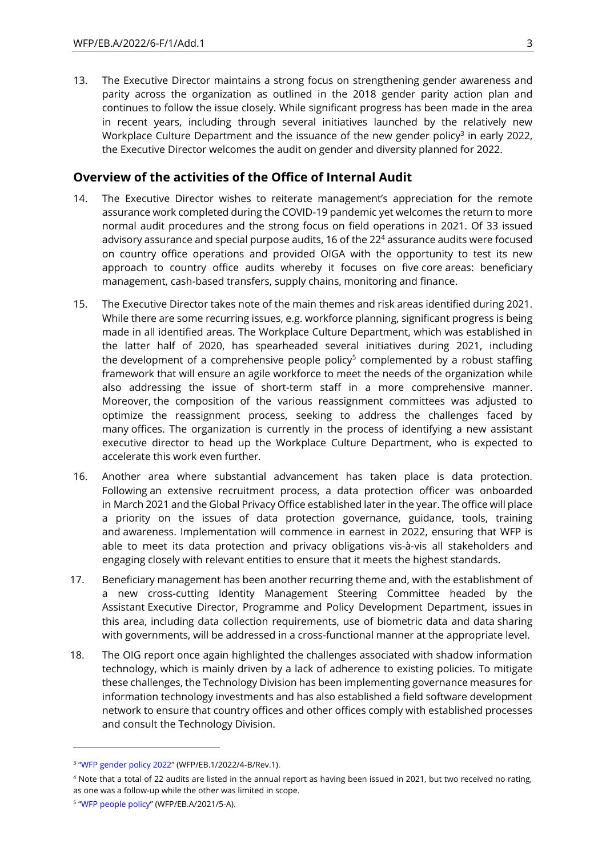13. The Executive Director maintains a strong focus on strengthening gender awareness and parity across the organization as outlined in the 2018 gender parity action plan and continues to follow the issue closely. While significant progress has been made in the area in recent years, including through several initiatives launched by the relatively new Workplace Culture Department and the issuance of the new gender policy<sup>3</sup> in early 2022, the Executive Director welcomes the audit on gender and diversity planned for 2022.

## **Overview of the activities of the Office of Internal Audit**

- 14. The Executive Director wishes to reiterate management's appreciation for the remote assurance work completed during the COVID-19 pandemic yet welcomes the return to more normal audit procedures and the strong focus on field operations in 2021. Of 33 issued advisory assurance and special purpose audits, 16 of the 22<sup>4</sup> assurance audits were focused on country office operations and provided OIGA with the opportunity to test its new approach to country office audits whereby it focuses on five core areas: beneficiary management, cash-based transfers, supply chains, monitoring and finance.
- 15. The Executive Director takes note of the main themes and risk areas identified during 2021. While there are some recurring issues, e.g. workforce planning, significant progress is being made in all identified areas. The Workplace Culture Department, which was established in the latter half of 2020, has spearheaded several initiatives during 2021, including the development of a comprehensive people policy<sup>5</sup> complemented by a robust staffing framework that will ensure an agile workforce to meet the needs of the organization while also addressing the issue of short-term staff in a more comprehensive manner. Moreover, the composition of the various reassignment committees was adjusted to optimize the reassignment process, seeking to address the challenges faced by many offices. The organization is currently in the process of identifying a new assistant executive director to head up the Workplace Culture Department, who is expected to accelerate this work even further.
- 16. Another area where substantial advancement has taken place is data protection. Following an extensive recruitment process, a data protection officer was onboarded in March 2021 and the Global Privacy Office established later in the year. The office will place a priority on the issues of data protection governance, guidance, tools, training and awareness. Implementation will commence in earnest in 2022, ensuring that WFP is able to meet its data protection and privacy obligations vis-à-vis all stakeholders and engaging closely with relevant entities to ensure that it meets the highest standards.
- 17. Beneficiary management has been another recurring theme and, with the establishment of a new cross-cutting Identity Management Steering Committee headed by the Assistant Executive Director, Programme and Policy Development Department, issues in this area, including data collection requirements, use of biometric data and data sharing with governments, will be addressed in a cross-functional manner at the appropriate level.
- 18. The OIG report once again highlighted the challenges associated with shadow information technology, which is mainly driven by a lack of adherence to existing policies. To mitigate these challenges, the Technology Division has been implementing governance measures for information technology investments and has also established a field software development network to ensure that country offices and other offices comply with established processes and consult the Technology Division.

<sup>3</sup> "[WFP gender policy](https://executiveboard.wfp.org/document_download/WFP-0000135898) 2022" (WFP/EB.1/2022/4-B/Rev.1).

<sup>&</sup>lt;sup>4</sup> Note that a total of 22 audits are listed in the annual report as having been issued in 2021, but two received no rating, as one was a follow-up while the other was limited in scope.

<sup>5</sup> "[WFP people policy](https://executiveboard.wfp.org/document_download/WFP-0000127449)" (WFP/EB.A/2021/5-A).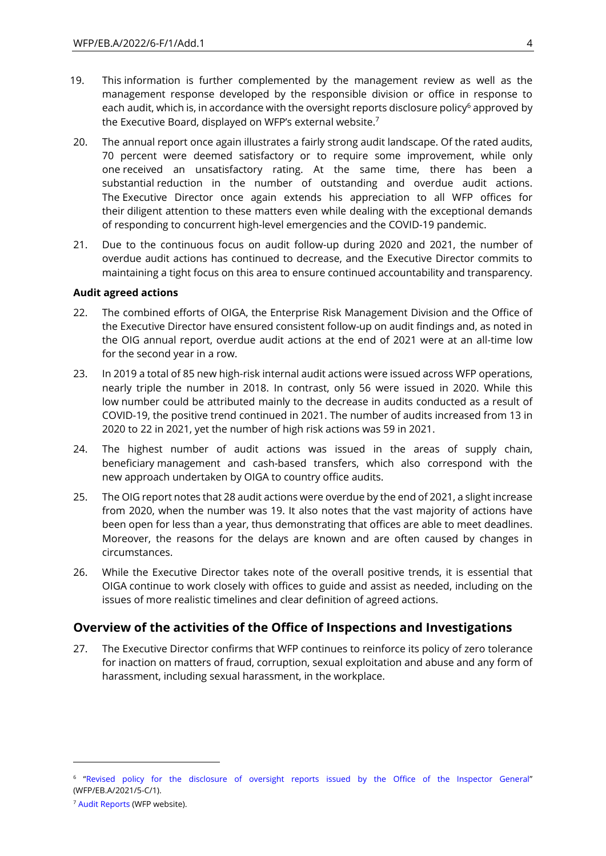- 19. This information is further complemented by the management review as well as the management response developed by the responsible division or office in response to each audit, which is, in accordance with the oversight reports disclosure policy<sup>6</sup> approved by the Executive Board, displayed on WFP's external website.<sup>7</sup>
- 20. The annual report once again illustrates a fairly strong audit landscape. Of the rated audits, 70 percent were deemed satisfactory or to require some improvement, while only one received an unsatisfactory rating. At the same time, there has been a substantial reduction in the number of outstanding and overdue audit actions. The Executive Director once again extends his appreciation to all WFP offices for their diligent attention to these matters even while dealing with the exceptional demands of responding to concurrent high-level emergencies and the COVID-19 pandemic.
- 21. Due to the continuous focus on audit follow-up during 2020 and 2021, the number of overdue audit actions has continued to decrease, and the Executive Director commits to maintaining a tight focus on this area to ensure continued accountability and transparency.

#### **Audit agreed actions**

- 22. The combined efforts of OIGA, the Enterprise Risk Management Division and the Office of the Executive Director have ensured consistent follow-up on audit findings and, as noted in the OIG annual report, overdue audit actions at the end of 2021 were at an all-time low for the second year in a row.
- 23. In 2019 a total of 85 new high-risk internal audit actions were issued across WFP operations, nearly triple the number in 2018. In contrast, only 56 were issued in 2020. While this low number could be attributed mainly to the decrease in audits conducted as a result of COVID-19, the positive trend continued in 2021. The number of audits increased from 13 in 2020 to 22 in 2021, yet the number of high risk actions was 59 in 2021.
- 24. The highest number of audit actions was issued in the areas of supply chain, beneficiary management and cash-based transfers, which also correspond with the new approach undertaken by OIGA to country office audits.
- 25. The OIG report notes that 28 audit actions were overdue by the end of 2021, a slight increase from 2020, when the number was 19. It also notes that the vast majority of actions have been open for less than a year, thus demonstrating that offices are able to meet deadlines. Moreover, the reasons for the delays are known and are often caused by changes in circumstances.
- 26. While the Executive Director takes note of the overall positive trends, it is essential that OIGA continue to work closely with offices to guide and assist as needed, including on the issues of more realistic timelines and clear definition of agreed actions.

## **Overview of the activities of the Office of Inspections and Investigations**

27. The Executive Director confirms that WFP continues to reinforce its policy of zero tolerance for inaction on matters of fraud, corruption, sexual exploitation and abuse and any form of harassment, including sexual harassment, in the workplace.

<sup>6</sup> "[Revised policy for the disclosure of oversight reports](https://executiveboard.wfp.org/document_download/WFP-0000127459) issued by the Office of the Inspector General" (WFP/EB.A/2021/5-C/1).

<sup>7</sup> [Audit Reports](http://www.wfp.org/audit-inspection-reports) (WFP website).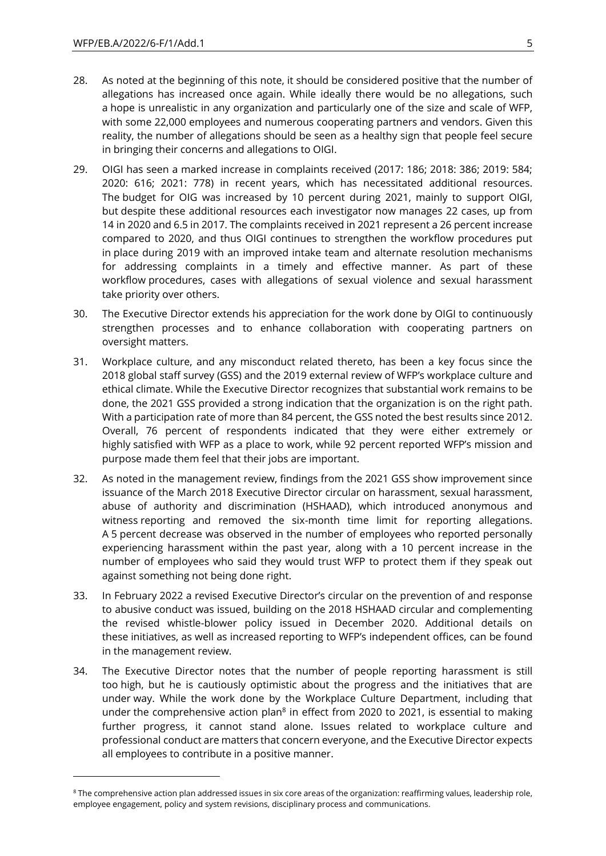- 28. As noted at the beginning of this note, it should be considered positive that the number of allegations has increased once again. While ideally there would be no allegations, such a hope is unrealistic in any organization and particularly one of the size and scale of WFP, with some 22,000 employees and numerous cooperating partners and vendors. Given this reality, the number of allegations should be seen as a healthy sign that people feel secure in bringing their concerns and allegations to OIGI.
- 29. OIGI has seen a marked increase in complaints received (2017: 186; 2018: 386; 2019: 584; 2020: 616; 2021: 778) in recent years, which has necessitated additional resources. The budget for OIG was increased by 10 percent during 2021, mainly to support OIGI, but despite these additional resources each investigator now manages 22 cases, up from 14 in 2020 and 6.5 in 2017. The complaints received in 2021 represent a 26 percent increase compared to 2020, and thus OIGI continues to strengthen the workflow procedures put in place during 2019 with an improved intake team and alternate resolution mechanisms for addressing complaints in a timely and effective manner. As part of these workflow procedures, cases with allegations of sexual violence and sexual harassment take priority over others.
- 30. The Executive Director extends his appreciation for the work done by OIGI to continuously strengthen processes and to enhance collaboration with cooperating partners on oversight matters.
- 31. Workplace culture, and any misconduct related thereto, has been a key focus since the 2018 global staff survey (GSS) and the 2019 external review of WFP's workplace culture and ethical climate. While the Executive Director recognizes that substantial work remains to be done, the 2021 GSS provided a strong indication that the organization is on the right path. With a participation rate of more than 84 percent, the GSS noted the best results since 2012. Overall, 76 percent of respondents indicated that they were either extremely or highly satisfied with WFP as a place to work, while 92 percent reported WFP's mission and purpose made them feel that their jobs are important.
- 32. As noted in the management review, findings from the 2021 GSS show improvement since issuance of the March 2018 Executive Director circular on harassment, sexual harassment, abuse of authority and discrimination (HSHAAD), which introduced anonymous and witness reporting and removed the six-month time limit for reporting allegations. A 5 percent decrease was observed in the number of employees who reported personally experiencing harassment within the past year, along with a 10 percent increase in the number of employees who said they would trust WFP to protect them if they speak out against something not being done right.
- 33. In February 2022 a revised Executive Director's circular on the prevention of and response to abusive conduct was issued, building on the 2018 HSHAAD circular and complementing the revised whistle-blower policy issued in December 2020. Additional details on these initiatives, as well as increased reporting to WFP's independent offices, can be found in the management review.
- 34. The Executive Director notes that the number of people reporting harassment is still too high, but he is cautiously optimistic about the progress and the initiatives that are under way. While the work done by the Workplace Culture Department, including that under the comprehensive action plan<sup>8</sup> in effect from 2020 to 2021, is essential to making further progress, it cannot stand alone. Issues related to workplace culture and professional conduct are matters that concern everyone, and the Executive Director expects all employees to contribute in a positive manner.

<sup>&</sup>lt;sup>8</sup> The comprehensive action plan addressed issues in six core areas of the organization: reaffirming values, leadership role, employee engagement, policy and system revisions, disciplinary process and communications.